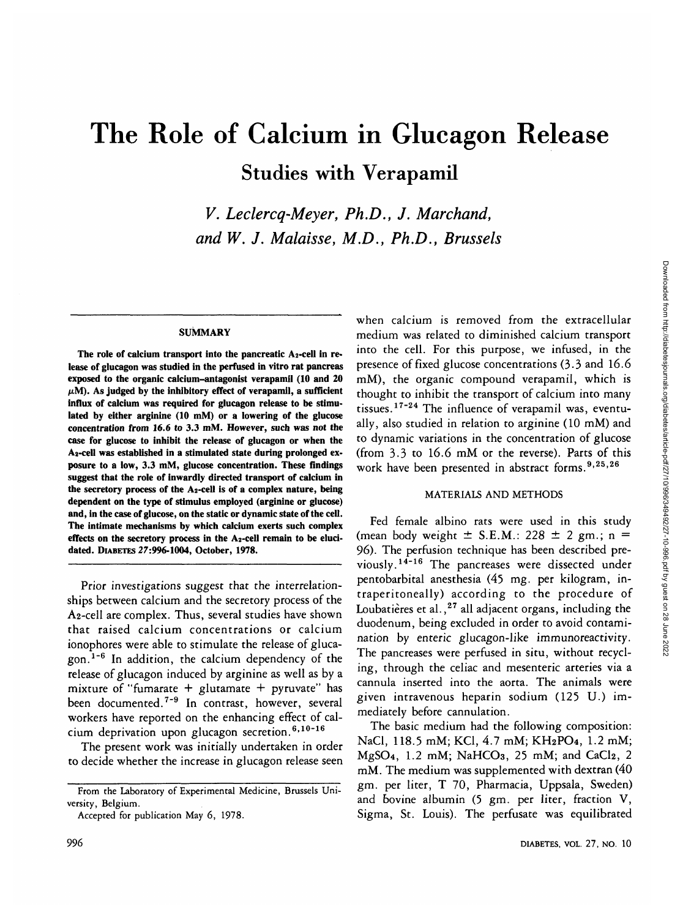# The Role of Calcium in Glucagon Release Studies with Verapamil

*V. Leclercq-Meyer, Ph.D., J. Marchand, and W. J. Malaisse, M.D., Ph.D., Brussels*

### **SUMMARY**

The role of calcium transport into the pancreatic A<sub>2</sub>-cell in re**lease of glucagon was studied in the perfused in vitro rat pancreas exposed to the organic calcium-antagonist verapamil (10 and 20**  $\mu$ M). As judged by the inhibitory effect of verapamil, a sufficient **influx of calcium was required for glucagon release to be stimulated by either arginine (10 mM) or a lowering of the glucose concentration from 16.6 to 3.3 mM. However, such was not the case for glucose to inhibit the release of glucagon or when the A2-cell was established in a stimulated state during prolonged exposure to a low, 3.3 mM, glucose concentration. These findings suggest that the role of inwardly directed transport of calcium in the secretory process of the A2-cell is of a complex nature, being dependent on the type of stimulus employed (arginine or glucose) and, in the case of glucose, on the static or dynamic state of the cell. The intimate mechanisms by which calcium exerts such complex effects on the secretory process in the A2-cell remain to be elucidated. DIABETES 27:996-1004, October, 1978.**

Prior investigations suggest that the interrelationships between calcium and the secretory process of the A2-cell are complex. Thus, several studies have shown that raised calcium concentrations or calcium ionophores were able to stimulate the release of glucagon.<sup>1-6</sup> In addition, the calcium dependency of the release of glucagon induced by arginine as well as by a mixture of "fumarate + glutamate + pyruvate" has been documented.<sup>7-9</sup> In contrast, however, several workers have reported on the enhancing effect of cal- $\lim_{h \to 0}$  deprivation upon glucagon secretion.<sup>6,10-16</sup>

The present work was initially undertaken in order to decide whether the increase in glucagon release seen when calcium is removed from the extracellular medium was related to diminished calcium transport into the cell. For this purpose, we infused, in the presence of fixed glucose concentrations (3-3 and 16.6 mM), the organic compound verapamil, which is thought to inhibit the transport of calcium into many tissues.<sup>17-24</sup> The influence of verapamil was, eventually, also studied in relation to arginine (10 mM) and to dynamic variations in the concentration of glucose (from 3.3 to 16.6 mM or the reverse). Parts of this work have been presented in abstract forms.<sup>9,25,26</sup>

## MATERIALS AND METHODS

Fed female albino rats were used in this study (mean body weight  $\pm$  S.E.M.: 228  $\pm$  2 gm.; n = 96). The perfusion technique has been described previously.<sup>14-16</sup> The pancreases were dissected under pentobarbital anesthesia (45 mg. per kilogram, intraperitoneally) according to the procedure of Loubatières et al.,<sup>27</sup> all adjacent organs, including the duodenum, being excluded in order to avoid contamination by enteric glucagon-like immunoreactivity. The pancreases were perfused in situ, without recycling, through the celiac and mesenteric arteries via a cannula inserted into the aorta. The animals were given intravenous heparin sodium (125 U.) immediately before cannulation.

The basic medium had the following composition: NaCl, 118.5 mM; KG, 4.7 mM; KH2PO4, 1.2 mM;  $MgSO<sub>4</sub>$ , 1.2 mM; NaHCO<sub>3</sub>, 25 mM; and CaCl<sub>2</sub>, 2 mM. The medium was supplemented with dextran (40 gm. per liter, T 70, Pharmacia, Uppsala, Sweden) and bovine albumin (5 gm. per liter, fraction V, Sigma, St. Louis). The perfusate was equilibrated

**From the Laboratory of Experimental Medicine, Brussels University, Belgium.**

**Accepted for publication May 6, 1978.**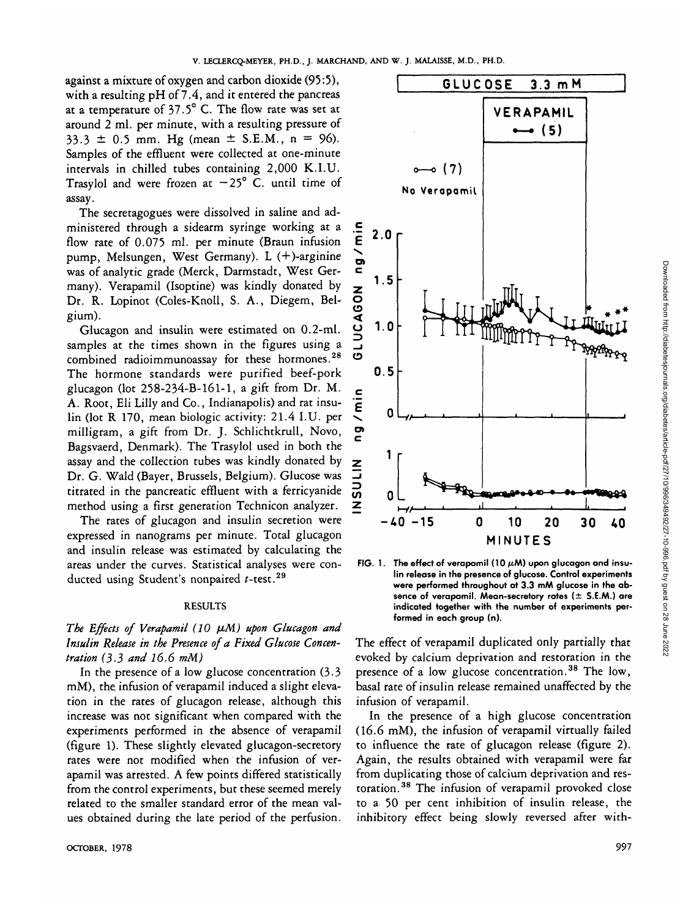against a mixture of oxygen and carbon dioxide (95:5), with a resulting pH of 7.4, and it entered the pancreas at a temperature of 37.5° C. The flow rate was set at around 2 ml. per minute, with a resulting pressure of  $33.3 \pm 0.5$  mm. Hg (mean  $\pm$  S.E.M., n = 96). Samples of the effluent were collected at one-minute intervals in chilled tubes containing 2,000 K.I.U. Trasylol and were frozen at  $-25^{\circ}$  C. until time of assay.

The secretagogues were dissolved in saline and administered through a sidearm syringe working at a flow rate of 0.075 ml. per minute (Braun infusion pump, Melsungen, West Germany). L (+)-arginine was of analytic grade (Merck, Darmstadt, West Germany). Verapamil (Isoptine) was kindly donated by Dr. R. Lopinot (Coles-Knoll, S. A., Diegem, Belgium).

Glucagon and insulin were estimated on 0.2-ml. samples at the times shown in the figures using a combined radioimmunoassay for these hormones.<sup>28</sup> The hormone standards were purified beef-pork glucagon (lot 258-234-B-161-1, a gift from Dr. M. A. Root, Eli Lilly and Co., Indianapolis) and rat insulin (lot R 170, mean biologic activity: 21.4 I.U. per milligram, a gift from Dr. J. Schlichtkrull, Novo, Bagsvaerd, Denmark). The Trasylol used in both the assay and the collection tubes was kindly donated by Dr. G. Wald (Bayer, Brussels, Belgium). Glucose was titrated in the pancreatic effluent with a ferricyanide method using a first generation Technicon analyzer.

The rates of glucagon and insulin secretion were expressed in nanograms per minute. Total glucagon and insulin release was estimated by calculating the areas under the curves. Statistical analyses were conducted using Student's nonpaired  $t$ -test.<sup>29</sup>

## RESULTS

# The Effects of Verapamil (10  $\mu$ M) upon Glucagon and *Insulin Release in the Presence of a Fixed Glucose Concentration (33 and 16.6 mM)*

In the presence of a low glucose concentration (3.3 mM), the, infusion of verapamil induced a slight elevation in the rates of glucagon release, although this increase was not significant when compared with the experiments performed in the absence of verapamil (figure 1). These slightly elevated glucagon-secretory rates were not modified when the infusion of verapamil was arrested. A few points differed statistically from the control experiments, but these seemed merely related to the smaller standard error of the mean values obtained during the late period of the perfusion.



FIG. 1. The effect of verapamil (10  $\mu$ M) upon glucagon and insu**lin release in the presence of glucose. Control experiments were performed throughout at 3.3 mM glucose in the absence of verapamil. Mean-secretory rates (± S.E.M.) are indicated together with the number of experiments performed in each group (n).**

The effect of verapamil duplicated only partially that evoked by calcium deprivation and restoration in the presence of a low glucose concentration.<sup>38</sup> The low, basal rate of insulin release remained unaffected by the infusion of verapamil.

In the presence of a high glucose concentration (16.6 mM), the infusion of verapamil virtually failed to influence the rate of glucagon release (figure 2). Again, the results obtained with verapamil were far from duplicating those of calcium deprivation and restoration.<sup>38</sup> The infusion of verapamil provoked close to a 50 per cent inhibition of insulin release, the inhibitory effect being slowly reversed after with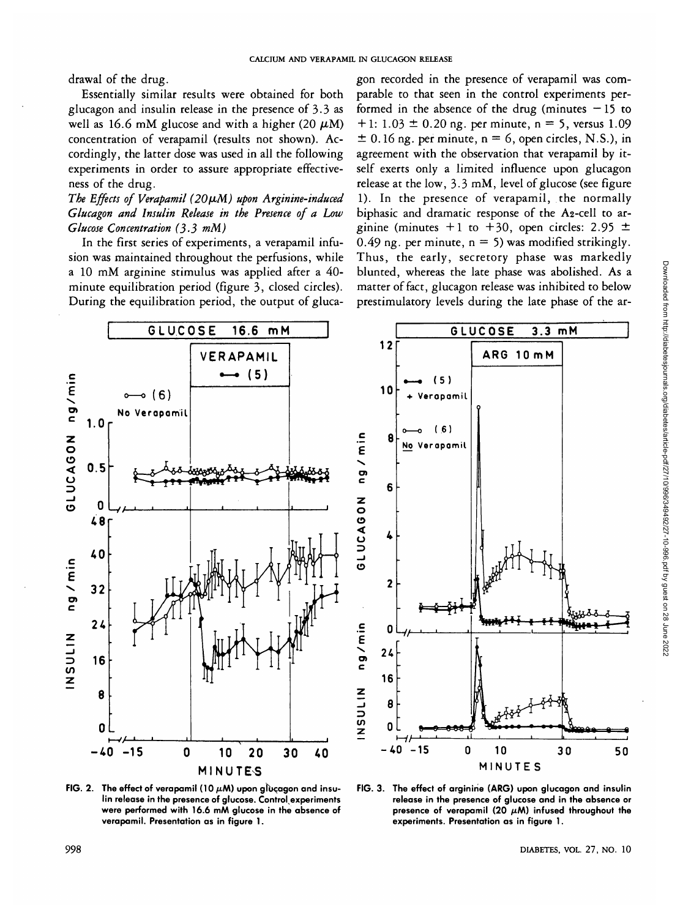drawal of the drug.

Essentially similar results were obtained for both glucagon and insulin release in the presence of  $3.3$  as well as 16.6 mM glucose and with a higher (20  $\mu$ M) concentration of verapamil (results not shown). Accordingly, the latter dose was used in all the following experiments in order to assure appropriate effectiveness of the drug.

The Effects of Verapamil (20µM) upon Arginine-induced *Glucagon and Insulin Release in the Presence of a Low Glucose Concentration (3-3 mM)*

In the first series of experiments, a verapamil infusion was maintained throughout the perfusions, while a 10 mM arginine stimulus was applied after a 40 minute equilibration period (figure 3, closed circles). During the equilibration period, the output of gluca-

gon recorded in the presence of verapamil was comparable to that seen in the control experiments performed in the absence of the drug (minutes  $-15$  to  $+ 1$ : 1.03  $\pm$  0.20 ng. per minute, n = 5, versus 1.09  $\pm$  0.16 ng. per minute, n = 6, open circles, N.S.), in agreement with the observation that verapamil by itself exerts only a limited influence upon glucagon release at the low, 3.3 mM, level of glucose (see figure 1). In the presence of verapamil, the normally biphasic and dramatic response of the A2-cell to arginine (minutes  $+1$  to  $+30$ , open circles: 2.95  $\pm$ 0.49 ng. per minute,  $n = 5$ ) was modified strikingly. Thus, the early, secretory phase was markedly blunted, whereas the late phase was abolished. As a matter of fact, glucagon release was inhibited to below prestimulatory levels during the late phase of the ar-



FIG. 2. The effect of verapamil (10  $\mu$ M) upon glucagon and insu**lin release in the presence of glucose. Control experiments were performed with 16.6 mM glucose in the absence of verapamil. Presentation as in figure 1.**



**FIG. 3. The effect of arginine (ARG) upon glucagon and insulin release in the presence of glucose and in the absence or** presence of verapamil (20  $\mu$ M) infused throughout the **experiments. Presentation as in figure 1.**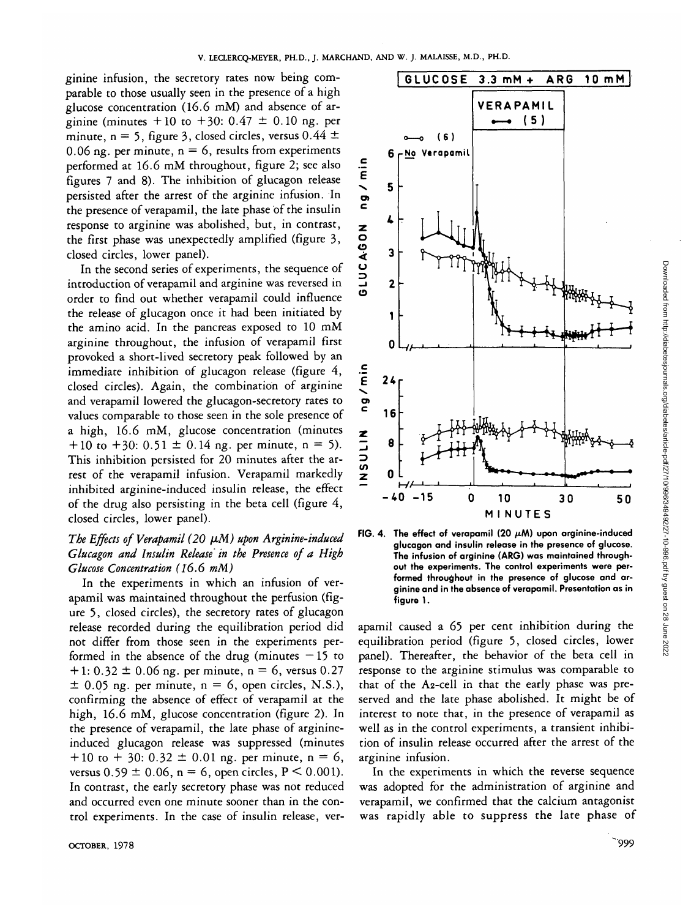ginine infusion, the secretory rates now being comparable to those usually seen in the presence of a high glucose concentration (16.6 mM) and absence of arginine (minutes  $+10$  to  $+30$ :  $0.47 \pm 0.10$  ng. per minute, n = 5, figure 3, closed circles, versus  $0.44 \pm$ 0.06 ng. per minute,  $n = 6$ , results from experiments performed at 16.6 mM throughout, figure 2; see also figures 7 and 8). The inhibition of glucagon release persisted after the arrest of the arginine infusion. In the presence of verapamil, the late phase of the insulin response to arginine was abolished, but, in contrast, the first phase was unexpectedly amplified (figure 3, closed circles, lower panel).

In the second series of experiments, the sequence of introduction of verapamil and arginine was reversed in order to find out whether verapamil could influence the release of glucagon once it had been initiated by the amino acid. In the pancreas exposed to 10 mM arginine throughout, the infusion of verapamil first provoked a short-lived secretory peak followed by an immediate inhibition of glucagon release (figure 4, closed circles). Again, the combination of arginine and verapamil lowered the glucagon-secretory rates to values comparable to those seen in the sole presence of a high, 16.6 mM, glucose concentration (minutes  $+ 10$  to  $+ 30$ :  $0.51 \pm 0.14$  ng. per minute, n = 5). This inhibition persisted for 20 minutes after the arrest of the verapamil infusion. Verapamil markedly inhibited arginine-induced insulin release, the effect of the drug also persisting in the beta cell (figure 4, closed circles, lower panel).

# The Effects of Verapamil (20  $\mu$ M) upon Arginine-induced *Glucagon and Insulin Release in the Presence of a High Glucose Concentration (16.6 mM)*

In the experiments in which an infusion of verapamil was maintained throughout the perfusion (figure 5, closed circles), the secretory rates of glucagon release recorded during the equilibration period did not differ from those seen in the experiments performed in the absence of the drug (minutes  $-15$  to  $+ 1: 0.32 \pm 0.06$  ng. per minute, n = 6, versus 0.27  $\pm$  0.05 ng. per minute, n = 6, open circles, N.S.), confirming the absence of effect of verapamil at the high, 16.6 mM, glucose concentration (figure 2). In the presence of verapamil, the late phase of arginineinduced glucagon release was suppressed (minutes  $+ 10$  to  $+ 30$ : 0.32  $\pm$  0.01 ng. per minute, n = 6, versus  $0.59 \pm 0.06$ , n = 6, open circles, P < 0.001). In contrast, the early secretory phase was not reduced and occurred even one minute sooner than in the control experiments. In the case of insulin release, ver-



FIG. 4. The effect of verapamil (20  $\mu$ M) upon arginine-induced **glucagon and insulin release in the presence of glucose. The infusion of arginine (ARG) was maintained throughout the experiments. The control experiments were performed throughout in the presence of glucose and arginine and in the absence of verapamil. Presentation as in figure 1.**

apamil caused a 65 per cent inhibition during the equilibration period (figure 5, closed circles, lower panel). Thereafter, the behavior of the beta cell in response to the arginine stimulus was comparable to that of the A2-cell in that the early phase was preserved and the late phase abolished. It might be of interest to note that, in the presence of verapamil as well as in the control experiments, a transient inhibition of insulin release occurred after the arrest of the arginine infusion.

In the experiments in which the reverse sequence was adopted for the administration of arginine and verapamil, we confirmed that the calcium antagonist was rapidly able to suppress the late phase of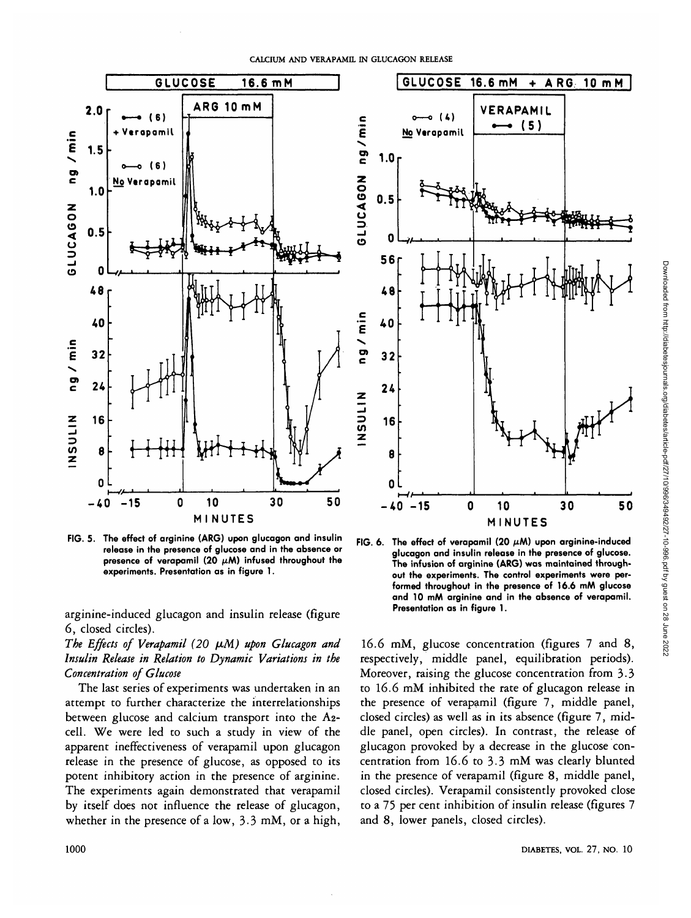E<br>E<br>I

**u 3**

z

**1NSU L**



**FIG. 5. The effect of arginine (ARG) upon glucagon and insulin release in the presence of glucose and in the absence or presence of verapamil (20**  $\mu$ **M)** infused throughout the **experiments. Presentation as in figure 1.**

arginine-induced glucagon and insulin release (figure 6, closed circles).

The Effects of Verapamil (20  $\mu$ M) upon Glucagon and *Insulin Release in Relation to Dynamic Variations in the Concentration of Glucose*

The last series of experiments was undertaken in an attempt to further characterize the interrelationships between glucose and calcium transport into the A2 cell. We were led to such a study in view of the apparent ineffectiveness of verapamil upon glucagon release in the presence of glucose, as opposed to its potent inhibitory action in the presence of arginine. The experiments again demonstrated that verapamil by itself does not influence the release of glucagon, whether in the presence of a low, 3.3 mM, or a high,



FIG. 6. The effect of verapamil (20  $\mu$ M) upon arginine-induced **glucagon and insulin release in the presence of glucose. The infusion of arginine (ARG) was maintained throughout the experiments. The control experiments were performed throughout in the presence of 16.6 mM glucose and 10 mM arginine and in the absence of verapamil. Presentation as in figure 1.**

16.6 mM, glucose concentration (figures 7 and 8, respectively, middle panel, equilibration periods). Moreover, raising the glucose concentration from 3-3 to 16.6 mM inhibited the rate of glucagon release in the presence of verapamil (figure 7, middle panel, closed circles) as well as in its absence (figure 7, middle panel, open circles). In contrast, the release of glucagon provoked by a decrease in the glucose concentration from 16.6 to 3-3 mM was clearly blunted in the presence of verapamil (figure 8, middle panel, closed circles). Verapamil consistently provoked close to a 75 per cent inhibition of insulin release (figures 7 and 8, lower panels, closed circles).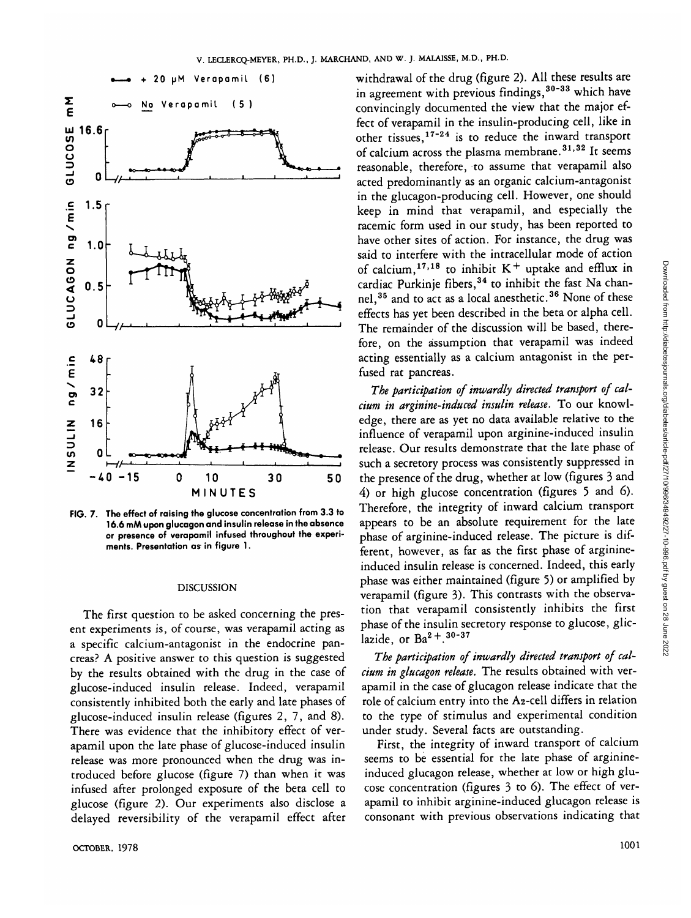

**FIG. 7. The effect of raising the glucose concentration from 3.3 to 16.6 mAA upon glucagon and insulin release in the absence or presence of verapamil infused throughout the experiments. Presentation as in figure 1.**

### DISCUSSION

The first question to be asked concerning the present experiments is, of course, was verapamil acting as a specific calcium-antagonist in the endocrine pancreas? A positive answer to this question is suggested by the results obtained with the drug in the case of glucose-induced insulin release. Indeed, verapamil consistently inhibited both the early and late phases of glucose-induced insulin release (figures 2, 7, and 8). There was evidence that the inhibitory effect of verapamil upon the late phase of glucose-induced insulin release was more pronounced when the drug was introduced before glucose (figure 7) than when it was infused after prolonged exposure of the beta cell to glucose (figure 2). Our experiments also disclose a delayed reversibility of the verapamil effect after withdrawal of the drug (figure 2). All these results are in agreement with previous findings,<sup>30-33</sup> which have convincingly documented the view that the major effect of verapamil in the insulin-producing cell, like in other tissues,<sup>17-24</sup> is to reduce the inward transport of calcium across the plasma membrane.<sup>31,32</sup> It seems reasonable, therefore, to assume that verapamil also acted predominantly as an organic calcium-antagonist in the glucagon-producing cell. However, one should keep in mind that verapamil, and especially the racemic form used in our study, has been reported to have other sites of action. For instance, the drug was said to interfere with the intracellular mode of action of calcium,  $17,18$  to inhibit K<sup>+</sup> uptake and efflux in cardiac Purkinje fibers, 34 to inhibit the fast Na channel,<sup>35</sup> and to act as a local anesthetic.<sup>36</sup> None of these effects has yet been described in the beta or alpha cell. The remainder of the discussion will be based, therefore, on the assumption that verapamil was indeed acting essentially as a calcium antagonist in the perfused rat pancreas.

*The participation of inwardly directed transport of calcium in arginine-induced insulin release.* To our knowledge, there are as yet no data available relative to the influence of verapamil upon arginine-induced insulin release. Our results demonstrate that the late phase of such a secretory process was consistently suppressed in the presence of the drug, whether at low (figures 3 and 4) or high glucose concentration (figures 5 and 6). Therefore, the integrity of inward calcium transport appears to be an absolute requirement for the late phase of arginine-induced release. The picture is different, however, as far as the first phase of arginineinduced insulin release is concerned. Indeed, this early phase was either maintained (figure 5) or amplified by verapamil (figure 3). This contrasts with the observation that verapamil consistently inhibits the first phase of the insulin secretory response to glucose, gliclazide, or  $Ba^{2}+.30-37$ 

*The participation of inwardly directed transport of calcium in glucagon release.* The results obtained with verapamil in the case of glucagon release indicate that the role of calcium entry into the A2-cell differs in relation to the type of stimulus and experimental condition under study. Several facts are outstanding.

First, the integrity of inward transport of calcium seems to be essential for the late phase of arginineinduced glucagon release, whether at low or high glucose concentration (figures 3 to 6). The effect of verapamil to inhibit arginine-induced glucagon release is consonant with previous observations indicating that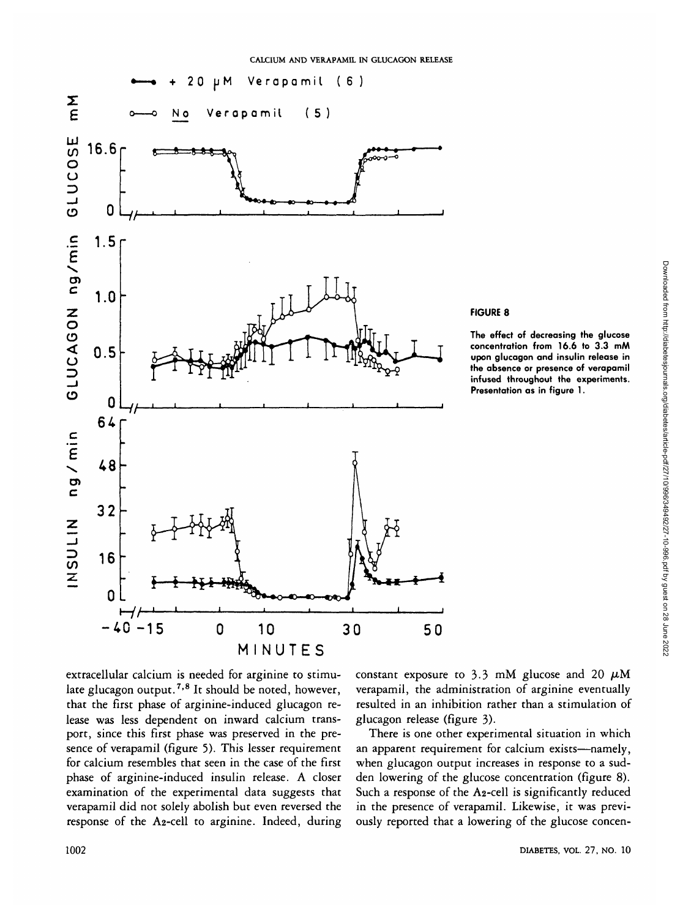

## **FIGURE 8**

**The effect of decreasing the glucose concentration from 16.6 to 3.3 mM upon glucagon and insulin release in the absence or presence of verapamil infused throughout the experiments. Presentation as in figure 1.**

extracellular calcium is needed for arginine to stimulate glucagon output.<sup>7,8</sup> It should be noted, however, that the first phase of arginine-induced glucagon release was less dependent on inward calcium transport, since this first phase was preserved in the presence of verapamil (figure 5). This lesser requirement for calcium resembles that seen in the case of the first phase of arginine-induced insulin release. A closer examination of the experimental data suggests that verapamil did not solely abolish but even reversed the response of the A2-cell to arginine. Indeed, during constant exposure to 3.3 mM glucose and 20  $\mu$ M verapamil, the administration of arginine eventually resulted in an inhibition rather than a stimulation of glucagon release (figure 3).

There is one other experimental situation in which an apparent requirement for calcium exists—namely, when glucagon output increases in response to a sudden lowering of the glucose concentration (figure 8). Such a response of the A2-cell is significantly reduced in the presence of verapamil. Likewise, it was previously reported that a lowering of the glucose concen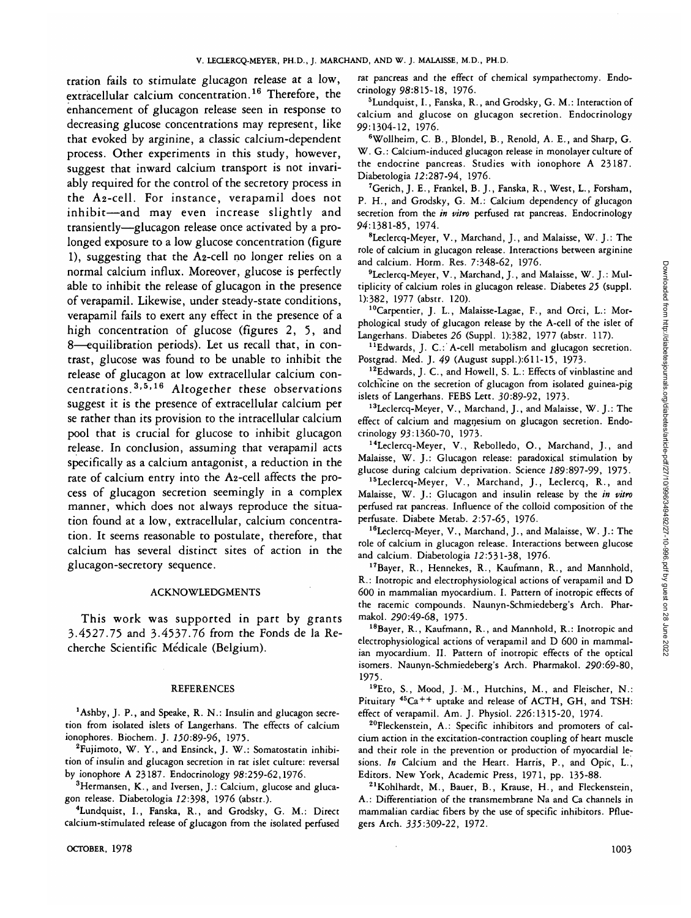tration fails to stimulate glucagon release at a low, extracellular calcium concentration.<sup>16</sup> Therefore, the enhancement of glucagon release seen in response to decreasing glucose concentrations may represent, like that evoked by arginine, a classic calcium-dependent process. Other experiments in this study, however, suggest that inward calcium transport is not invariably required for the control of the secretory process in the A2-cell. For instance, verapamil does not inhibit—and may even increase slightly and transiently—glucagon release once activated by a prolonged exposure to a low glucose concentration (figure 1), suggesting that the A2-cell no longer relies on a normal calcium influx. Moreover, glucose is perfectly able to inhibit the release of glucagon in the presence of verapamil. Likewise, under steady-state conditions, verapamil fails to exert any effect in the presence of a high concentration of glucose (figures 2, 5, and 8—equilibration periods). Let us recall that, in contrast, glucose was found to be unable to inhibit the release of glucagon at low extracellular calcium con- $\frac{3}{5}$ ,  $\frac{5}{16}$  Altogether these observations suggest it is the presence of extracellular calcium per se rather than its provision to the intracellular calcium pool that is crucial for glucose to inhibit glucagon release. In conclusion, assuming that verapamil acts specifically as a calcium antagonist, a reduction in the rate of calcium entry into the A2-cell affects the process of glucagon secretion seemingly in a complex manner, which does not always reproduce the situation found at a low, extracellular, calcium concentration. It seems reasonable to postulate, therefore, that calcium has several distinct sites of action in the glucagon-secretory sequence.

#### ACKNOWLEDGMENTS

This work was supported in part by grants 3.4527.75 and 3-4537.76 from the Fonds de la Recherche Scientific Medicale (Belgium).

## REFERENCES

'Ashby, J. P., and Speake, R. N.: Insulin and glucagon secretion from isolated islets of Langerhans. The effects of calcium ionophores. Biochem. J. 750:89-96, 1975.

<sup>2</sup>Fujimoto, W. Y., and Ensinck, J. W.: Somatostatin inhibition of insulin and glucagon secretion in rat islet culture: reversal by ionophore A 23187. Endocrinology 98:259-62,1976.

<sup>3</sup>Hermansen, K., and Iversen, J.: Calcium, glucose and glucagon release. Diabetologia 12:398, 1976 (abstr.).

4 Lundquist, I., Fanska, R., and Grodsky, G. M.: Direct calcium-stimulated release of glucagon from the isolated perfused

OCTOBER,  $1978$  1003

rat pancreas and the effect of chemical sympathectomy. Endocrinology 98:815-18, 1976.

5 Lundquist, I., Fanska, R., and Grodsky, G. M.: Interaction of calcium and glucose on glucagon secretion. Endocrinology 99:1304-12, 1976.

6 Wollheim, C. B., Blondel, B., Renold, A. E., and Sharp, G. W. G.: Calcium-induced glucagon release in monolayer culture of the endocrine pancreas. Studies with ionophore A 23187. Diabetologia 12:287-94, 1976.

<sup>7</sup>Gerich, J. E., Frankel, B. J., Fanska, R., West, L., Forsham, P. H., and Grodsky, G. M.: Calcium dependency of glucagon secretion from the *in vitro* perfused rat pancreas. Endocrinology 94:1381-85, 1974.

8 Leclercq-Meyer, V., Marchand, J., and Malaisse, W. J.: The role of calcium in glucagon release. Interactions between arginine and calcium. Horm. Res. 7:348-62, 1976.

<sup>9</sup>Leclercq-Meyer, V., Marchand, J., and Malaisse, W. J.: Multiplicity of calcium roles in glucagon release. Diabetes *25* (suppl. 1):382, 1977 (abstr. 120).

10Carpentier, J. L., Malaisse-Lagae, F., and Orci, L.: Morphological study of glucagon release by the A-cell of the islet of Langerhans. Diabetes *26* (Suppl. 1):382, 1977 (abstr. 117).

<sup>11</sup>Edwards, J. C.: A-cell metabolism and glucagon secretion. Postgrad. Med. J. *49* (August suppl.):611-15, 1973.

<sup>12</sup>Edwards, J. C., and Howell, S. L.: Effects of vinblastine and colchicine on the secretion of glucagon from isolated guinea-pig islets of Langerhans. FEBS Lett. 30:89-92, 1973-

13Leclercq-Meyer, V., Marchand, J., and Malaisse, W. J.: The effect of calcium and magnesium on glucagon secretion. Endocrinology 93:1360-70, 1973-

14Leclercq-Meyer, V., Rebolledo, O., Marchand, J., and Malaisse, W. J.: Glucagon release: paradoxical stimulation by glucose during calcium deprivation. Science 289:897-99, 1975.

15Leclercq-Meyer, V., Marchand, J., Leclercq, R., and Malaisse, W. J.: Glucagon and insulin release by the *in vitro* perfused rat pancreas. Influence of the colloid composition of the perfusate. Diabete Metab. 2:57-65, 1976.

16Leclercq-Meyer, V., Marchand, J., and Malaisse, W. J.: The role of calcium in glucagon release. Interactions between glucose and calcium. Diabetologia 72:531-38, 1976.

17Bayer, R., Hennekes, R., Kaufmann, R., and Mannhold, R.: Inotropic and electrophysiological actions of verapamil and D 600 in mammalian myocardium. I. Pattern of inotropic effects of the racemic compounds. Naunyn-Schmiedeberg's Arch. Pharmakol. 290:49-68, 1975.

18Bayer, R., Kaufmann, R., and Mannhold, R.: Inotropic and electrophysiological actions of verapamil and D 600 in mammalian myocardium. II. Pattern of inotropic effects of the optical isomers. Naunyn-Schmiedeberg's Arch. Pharmakol. 290:69-80, 1975.

19Eto, S., Mood, J. M., Hutchins, M., and Fleischer, N.: Pituitary  $45Ca + +$  uptake and release of ACTH, GH, and TSH: effect of verapamil. Am. J. Physiol. 226:1315-20, 1974.

<sup>20</sup>Fleckenstein, A.: Specific inhibitors and promoters of calcium action in the excitation-contraction coupling of heart muscle and their role in the prevention or production of myocardial lesions. *In* Calcium and the Heart. Harris, P., and Opic, L., Editors. New York, Academic Press, 1971, pp. 135-88.

21Kohlhardt, M., Bauer, B., Krause, H., and Fleckenstein, A.: Differentiation of the transmembrane Na and Ca channels in mammalian cardiac fibers by the use of specific inhibitors. Pfluegers Arch. 333:309-22, 1972.